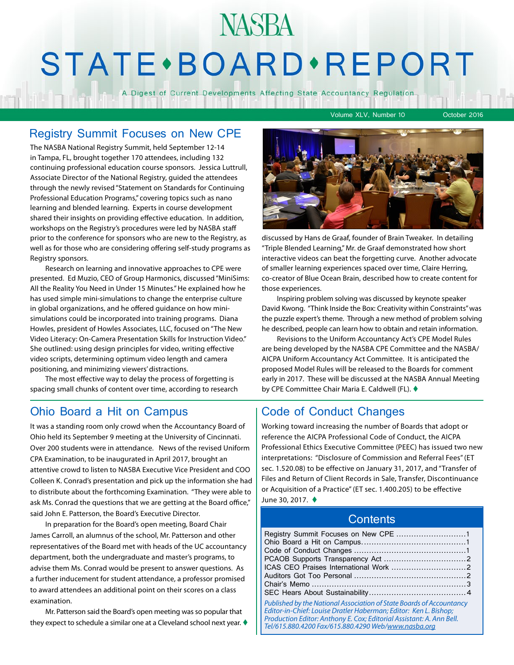# **NASBA STATE** · BOARD · REPORT

A Digest of Current Developments Affecting State Accountancy Regulation

Volume XLV, Number 10 October 2016

### Registry Summit Focuses on New CPE

The NASBA National Registry Summit, held September 12-14 in Tampa, FL, brought together 170 attendees, including 132 continuing professional education course sponsors. Jessica Luttrull, Associate Director of the National Registry, guided the attendees through the newly revised "Statement on Standards for Continuing Professional Education Programs," covering topics such as nano learning and blended learning. Experts in course development shared their insights on providing effective education. In addition, workshops on the Registry's procedures were led by NASBA staff prior to the conference for sponsors who are new to the Registry, as well as for those who are considering offering self-study programs as Registry sponsors.

Research on learning and innovative approaches to CPE were presented. Ed Muzio, CEO of Group Harmonics, discussed "MiniSims: All the Reality You Need in Under 15 Minutes." He explained how he has used simple mini-simulations to change the enterprise culture in global organizations, and he offered guidance on how minisimulations could be incorporated into training programs. Diana Howles, president of Howles Associates, LLC, focused on "The New Video Literacy: On-Camera Presentation Skills for Instruction Video." She outlined: using design principles for video, writing effective video scripts, determining optimum video length and camera positioning, and minimizing viewers' distractions.

The most effective way to delay the process of forgetting is spacing small chunks of content over time, according to research

### Ohio Board a Hit on Campus | Code of Conduct Changes

It was a standing room only crowd when the Accountancy Board of Ohio held its September 9 meeting at the University of Cincinnati. Over 200 students were in attendance. News of the revised Uniform CPA Examination, to be inaugurated in April 2017, brought an attentive crowd to listen to NASBA Executive Vice President and COO Colleen K. Conrad's presentation and pick up the information she had to distribute about the forthcoming Examination. "They were able to ask Ms. Conrad the questions that we are getting at the Board office," said John E. Patterson, the Board's Executive Director.

In preparation for the Board's open meeting, Board Chair James Carroll, an alumnus of the school, Mr. Patterson and other representatives of the Board met with heads of the UC accountancy department, both the undergraduate and master's programs, to advise them Ms. Conrad would be present to answer questions. As a further inducement for student attendance, a professor promised to award attendees an additional point on their scores on a class examination.

Mr. Patterson said the Board's open meeting was so popular that they expect to schedule a similar one at a Cleveland school next year.  $\blacklozenge$ 



discussed by Hans de Graaf, founder of Brain Tweaker. In detailing "Triple Blended Learning," Mr. de Graaf demonstrated how short interactive videos can beat the forgetting curve. Another advocate of smaller learning experiences spaced over time, Claire Herring, co-creator of Blue Ocean Brain, described how to create content for those experiences.

Inspiring problem solving was discussed by keynote speaker David Kwong. "Think Inside the Box: Creativity within Constraints" was the puzzle expert's theme. Through a new method of problem solving he described, people can learn how to obtain and retain information.

Revisions to the Uniform Accountancy Act's CPE Model Rules are being developed by the NASBA CPE Committee and the NASBA/ AICPA Uniform Accountancy Act Committee. It is anticipated the proposed Model Rules will be released to the Boards for comment early in 2017. These will be discussed at the NASBA Annual Meeting by CPE Committee Chair Maria E. Caldwell (FL). ♦

Working toward increasing the number of Boards that adopt or reference the AICPA Professional Code of Conduct, the AICPA Professional Ethics Executive Committee (PEEC) has issued two new interpretations: "Disclosure of Commission and Referral Fees" (ET sec. 1.520.08) to be effective on January 31, 2017, and "Transfer of Files and Return of Client Records in Sale, Transfer, Discontinuance or Acquisition of a Practice" (ET sec. 1.400.205) to be effective June 30, 2017. ♦

### **Contents**

| Published by the National Association of State Boards of Accountancy<br>Editor-in-Chief: Louise Dratler Haberman; Editor: Ken L. Bishop;<br>Production Editor: Anthony E. Cox: Editorial Assistant: A. Ann Bell. |  |
|------------------------------------------------------------------------------------------------------------------------------------------------------------------------------------------------------------------|--|

*Tel/615.880.4200 Fax/615.880.4290 Web/[www.nasba.org](http://www.nasba.org)*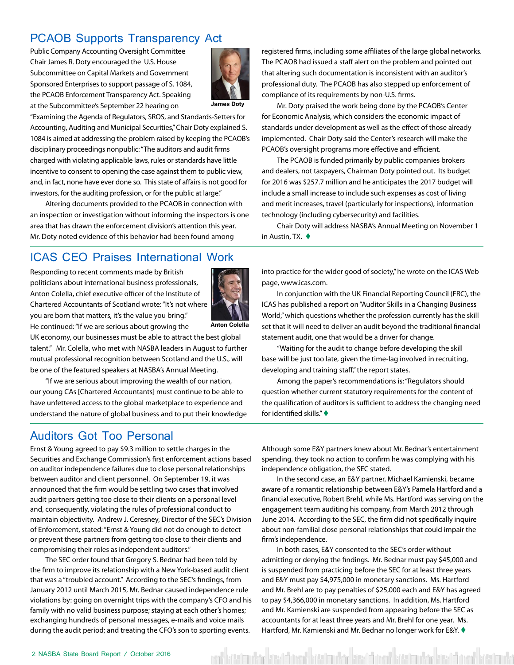### <span id="page-1-0"></span>PCAOB Supports Transparency Act

Public Company Accounting Oversight Committee Chair James R. Doty encouraged the U.S. House Subcommittee on Capital Markets and Government Sponsored Enterprises to support passage of S. 1084, the PCAOB Enforcement Transparency Act. Speaking at the Subcommittee's September 22 hearing on



**James Doty**

"Examining the Agenda of Regulators, SROS, and Standards-Setters for Accounting, Auditing and Municipal Securities," Chair Doty explained S. 1084 is aimed at addressing the problem raised by keeping the PCAOB's disciplinary proceedings nonpublic: "The auditors and audit firms charged with violating applicable laws, rules or standards have little incentive to consent to opening the case against them to public view, and, in fact, none have ever done so. This state of affairs is not good for investors, for the auditing profession, or for the public at large."

Altering documents provided to the PCAOB in connection with an inspection or investigation without informing the inspectors is one area that has drawn the enforcement division's attention this year. Mr. Doty noted evidence of this behavior had been found among

### ICAS CEO Praises International Work

Responding to recent comments made by British politicians about international business professionals, Anton Colella, chief executive officer of the Institute of Chartered Accountants of Scotland wrote: "It's not where you are born that matters, it's the value you bring." He continued: "If we are serious about growing the



**Anton Colella**

UK economy, our businesses must be able to attract the best global talent." Mr. Colella, who met with NASBA leaders in August to further mutual professional recognition between Scotland and the U.S., will be one of the featured speakers at NASBA's Annual Meeting.

"If we are serious about improving the wealth of our nation, our young CAs [Chartered Accountants] must continue to be able to have unfettered access to the global marketplace to experience and understand the nature of global business and to put their knowledge

### Auditors Got Too Personal

Ernst & Young agreed to pay \$9.3 million to settle charges in the Securities and Exchange Commission's first enforcement actions based on auditor independence failures due to close personal relationships between auditor and client personnel. On September 19, it was announced that the firm would be settling two cases that involved audit partners getting too close to their clients on a personal level and, consequently, violating the rules of professional conduct to maintain objectivity. Andrew J. Ceresney, Director of the SEC's Division of Enforcement, stated: "Ernst & Young did not do enough to detect or prevent these partners from getting too close to their clients and compromising their roles as independent auditors."

The SEC order found that Gregory S. Bednar had been told by the firm to improve its relationship with a New York-based audit client that was a "troubled account." According to the SEC's findings, from January 2012 until March 2015, Mr. Bednar caused independence rule violations by: going on overnight trips with the company's CFO and his family with no valid business purpose; staying at each other's homes; exchanging hundreds of personal messages, e-mails and voice mails during the audit period; and treating the CFO's son to sporting events.

registered firms, including some affiliates of the large global networks. The PCAOB had issued a staff alert on the problem and pointed out that altering such documentation is inconsistent with an auditor's professional duty. The PCAOB has also stepped up enforcement of compliance of its requirements by non-U.S. firms.

Mr. Doty praised the work being done by the PCAOB's Center for Economic Analysis, which considers the economic impact of standards under development as well as the effect of those already implemented. Chair Doty said the Center's research will make the PCAOB's oversight programs more effective and efficient.

The PCAOB is funded primarily by public companies brokers and dealers, not taxpayers, Chairman Doty pointed out. Its budget for 2016 was \$257.7 million and he anticipates the 2017 budget will include a small increase to include such expenses as cost of living and merit increases, travel (particularly for inspections), information technology (including cybersecurity) and facilities.

Chair Doty will address NASBA's Annual Meeting on November 1 in Austin, TX.  $\blacklozenge$ 

into practice for the wider good of society," he wrote on the ICAS Web page, www.icas.com.

In conjunction with the UK Financial Reporting Council (FRC), the ICAS has published a report on "Auditor Skills in a Changing Business World," which questions whether the profession currently has the skill set that it will need to deliver an audit beyond the traditional financial statement audit, one that would be a driver for change.

"Waiting for the audit to change before developing the skill base will be just too late, given the time-lag involved in recruiting, developing and training staff," the report states.

Among the paper's recommendations is: "Regulators should question whether current statutory requirements for the content of the qualification of auditors is sufficient to address the changing need for identified skills." $\blacklozenge$ 

Although some E&Y partners knew about Mr. Bednar's entertainment spending, they took no action to confirm he was complying with his independence obligation, the SEC stated.

In the second case, an E&Y partner, Michael Kamienski, became aware of a romantic relationship between E&Y's Pamela Hartford and a financial executive, Robert Brehl, while Ms. Hartford was serving on the engagement team auditing his company, from March 2012 through June 2014. According to the SEC, the firm did not specifically inquire about non-familial close personal relationships that could impair the firm's independence.

In both cases, E&Y consented to the SEC's order without admitting or denying the findings. Mr. Bednar must pay \$45,000 and is suspended from practicing before the SEC for at least three years and E&Y must pay \$4,975,000 in monetary sanctions. Ms. Hartford and Mr. Brehl are to pay penalties of \$25,000 each and E&Y has agreed to pay \$4,366,000 in monetary sanctions. In addition, Ms. Hartford and Mr. Kamienski are suspended from appearing before the SEC as accountants for at least three years and Mr. Brehl for one year. Ms. Hartford, Mr. Kamienski and Mr. Bednar no longer work for E&Y.  $\blacklozenge$ 

latah dan kantinan batah dan kantinan batah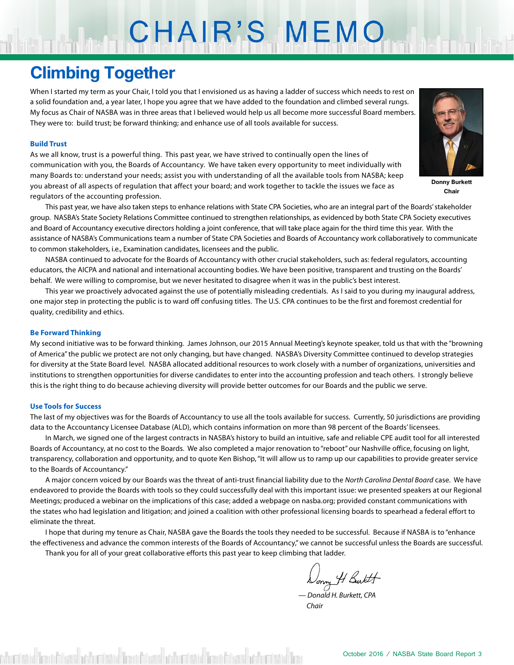# CHAIR'S MEMO

## **Climbing Together**

When I started my term as your Chair, I told you that I envisioned us as having a ladder of success which needs to rest on a solid foundation and, a year later, I hope you agree that we have added to the foundation and climbed several rungs. My focus as Chair of NASBA was in three areas that I believed would help us all become more successful Board members. They were to: build trust; be forward thinking; and enhance use of all tools available for success.

### **Build Trust**

As we all know, trust is a powerful thing. This past year, we have strived to continually open the lines of communication with you, the Boards of Accountancy. We have taken every opportunity to meet individually with many Boards to: understand your needs; assist you with understanding of all the available tools from NASBA; keep you abreast of all aspects of regulation that affect your board; and work together to tackle the issues we face as regulators of the accounting profession.

**Donny Burkett Chair**

This past year, we have also taken steps to enhance relations with State CPA Societies, who are an integral part of the Boards' stakeholder group. NASBA's State Society Relations Committee continued to strengthen relationships, as evidenced by both State CPA Society executives and Board of Accountancy executive directors holding a joint conference, that will take place again for the third time this year. With the assistance of NASBA's Communications team a number of State CPA Societies and Boards of Accountancy work collaboratively to communicate to common stakeholders, i.e., Examination candidates, licensees and the public.

NASBA continued to advocate for the Boards of Accountancy with other crucial stakeholders, such as: federal regulators, accounting educators, the AICPA and national and international accounting bodies. We have been positive, transparent and trusting on the Boards' behalf. We were willing to compromise, but we never hesitated to disagree when it was in the public's best interest.

This year we proactively advocated against the use of potentially misleading credentials. As I said to you during my inaugural address, one major step in protecting the public is to ward off confusing titles. The U.S. CPA continues to be the first and foremost credential for quality, credibility and ethics.

### **Be Forward Thinking**

My second initiative was to be forward thinking. James Johnson, our 2015 Annual Meeting's keynote speaker, told us that with the "browning of America" the public we protect are not only changing, but have changed. NASBA's Diversity Committee continued to develop strategies for diversity at the State Board level. NASBA allocated additional resources to work closely with a number of organizations, universities and institutions to strengthen opportunities for diverse candidates to enter into the accounting profession and teach others. I strongly believe this is the right thing to do because achieving diversity will provide better outcomes for our Boards and the public we serve.

#### **Use Tools for Success**

The last of my objectives was for the Boards of Accountancy to use all the tools available for success. Currently, 50 jurisdictions are providing data to the Accountancy Licensee Database (ALD), which contains information on more than 98 percent of the Boards' licensees.

In March, we signed one of the largest contracts in NASBA's history to build an intuitive, safe and reliable CPE audit tool for all interested Boards of Accountancy, at no cost to the Boards. We also completed a major renovation to "reboot" our Nashville office, focusing on light, transparency, collaboration and opportunity, and to quote Ken Bishop, "It will allow us to ramp up our capabilities to provide greater service to the Boards of Accountancy."

A major concern voiced by our Boards was the threat of anti-trust financial liability due to the *North Carolina Dental Board* case. We have endeavored to provide the Boards with tools so they could successfully deal with this important issue: we presented speakers at our Regional Meetings; produced a webinar on the implications of this case; added a webpage on nasba.org; provided constant communications with the states who had legislation and litigation; and joined a coalition with other professional licensing boards to spearhead a federal effort to eliminate the threat.

I hope that during my tenure as Chair, NASBA gave the Boards the tools they needed to be successful. Because if NASBA is to "enhance the effectiveness and advance the common interests of the Boards of Accountancy," we cannot be successful unless the Boards are successful. Thank you for all of your great collaborative efforts this past year to keep climbing that ladder.

Donny H Butt

— *Donald H. Burkett, CPA Chair*

stad from Characher Catal from Characher Catal from Characher Catal fro